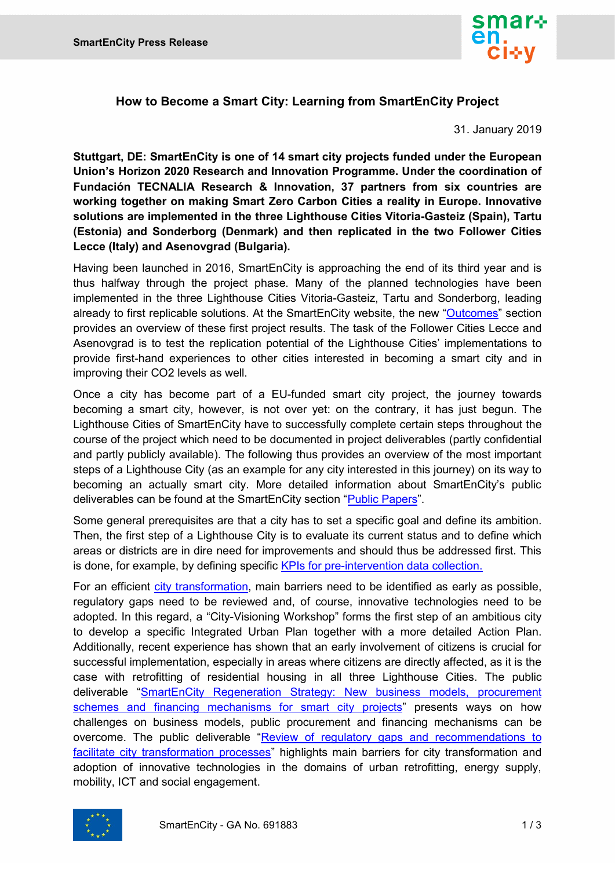

**How to Become a Smart City: Learning from SmartEnCity Project**

31. January 2019

**Stuttgart, DE: SmartEnCity is one of 14 smart city projects funded under the European Union's Horizon 2020 Research and Innovation Programme. Under the coordination of Fundación TECNALIA Research & Innovation, 37 partners from six countries are working together on making Smart Zero Carbon Cities a reality in Europe. Innovative solutions are implemented in the three Lighthouse Cities Vitoria-Gasteiz (Spain), Tartu (Estonia) and Sonderborg (Denmark) and then replicated in the two Follower Cities Lecce (Italy) and Asenovgrad (Bulgaria).** 

Having been launched in 2016, SmartEnCity is approaching the end of its third year and is thus halfway through the project phase. Many of the planned technologies have been implemented in the three Lighthouse Cities Vitoria-Gasteiz, Tartu and Sonderborg, leading already to first replicable solutions. At the SmartEnCity website, the new "[Outcomes](https://smartencity.eu/outcomes/)" section provides an overview of these first project results. The task of the Follower Cities Lecce and Asenovgrad is to test the replication potential of the Lighthouse Cities' implementations to provide first-hand experiences to other cities interested in becoming a smart city and in improving their CO2 levels as well.

Once a city has become part of a EU-funded smart city project, the journey towards becoming a smart city, however, is not over yet: on the contrary, it has just begun. The Lighthouse Cities of SmartEnCity have to successfully complete certain steps throughout the course of the project which need to be documented in project deliverables (partly confidential and partly publicly available). The following thus provides an overview of the most important steps of a Lighthouse City (as an example for any city interested in this journey) on its way to becoming an actually smart city. More detailed information about SmartEnCity's public deliverables can be found at the SmartEnCity section "[Public Papers](https://smartencity.eu/outcomes/public-papers/)".

Some general prerequisites are that a city has to set a specific goal and define its ambition. Then, the first step of a Lighthouse City is to evaluate its current status and to define which areas or districts are in dire need for improvements and should thus be addressed first. This is done, for example, by defining specific [KPIs for pre-intervention data collection.](https://smartencity.eu/news/detail/?rx_call=113)

For an efficient [city transformation,](https://smartencity.eu/news/detail/?rx_call=106) main barriers need to be identified as early as possible, regulatory gaps need to be reviewed and, of course, innovative technologies need to be adopted. In this regard, a "City-Visioning Workshop" forms the first step of an ambitious city to develop a specific Integrated Urban Plan together with a more detailed Action Plan. Additionally, recent experience has shown that an early involvement of citizens is crucial for successful implementation, especially in areas where citizens are directly affected, as it is the case with retrofitting of residential housing in all three Lighthouse Cities. The public deliverable "[SmartEnCity Regeneration Strategy: New business models, procurement](https://smartencity.eu/news/detail/?rx_call=107)  [schemes and financing mechanisms for smart city projects](https://smartencity.eu/news/detail/?rx_call=107)" presents ways on how challenges on business models, public procurement and financing mechanisms can be overcome. The public deliverable "[Review of regulatory gaps and recommendations to](https://smartencity.eu/news/detail/?rx_call=106)  [facilitate city transformation processes](https://smartencity.eu/news/detail/?rx_call=106)" highlights main barriers for city transformation and adoption of innovative technologies in the domains of urban retrofitting, energy supply, mobility, ICT and social engagement.

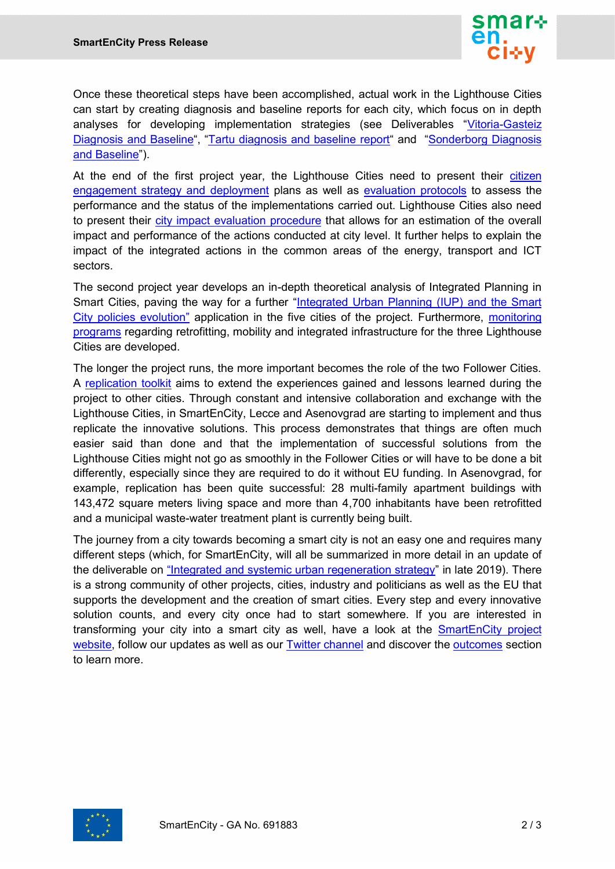

Once these theoretical steps have been accomplished, actual work in the Lighthouse Cities can start by creating diagnosis and baseline reports for each city, which focus on in depth analyses for developing implementation strategies (see Deliverables "[Vitoria-Gasteiz](https://smartencity.eu/news/detail/?rx_call=110)  [Diagnosis and Baseline](https://smartencity.eu/news/detail/?rx_call=110)", "[Tartu diagnosis and baseline report](https://smartencity.eu/news/detail/?rx_call=125)" and "[Sonderborg Diagnosis](https://smartencity.eu/news/detail/?rx_call=111)  [and Baseline](https://smartencity.eu/news/detail/?rx_call=111)").

At the end of the first project year, the Lighthouse Cities need to present their [citizen](https://smartencity.eu/news/detail/?rx_call=131)  [engagement strategy and deployment](https://smartencity.eu/news/detail/?rx_call=131) plans as well as [evaluation protocols](https://smartencity.eu/news/detail/?rx_call=115) to assess the performance and the status of the implementations carried out. Lighthouse Cities also need to present their [city impact evaluation procedure](https://smartencity.eu/news/detail/?rx_call=116) that allows for an estimation of the overall impact and performance of the actions conducted at city level. It further helps to explain the impact of the integrated actions in the common areas of the energy, transport and ICT sectors.

The second project year develops an in-depth theoretical analysis of Integrated Planning in Smart Cities, paving the way for a further "[Integrated Urban Planning \(IUP\) and the Smart](https://smartencity.eu/news/detail/?rx_call=109)  [City policies evolution](https://smartencity.eu/news/detail/?rx_call=109)" application in the five cities of the project. Furthermore, monitoring [programs](https://smartencity.eu/news/detail/?rx_call=119) regarding retrofitting, mobility and integrated infrastructure for the three Lighthouse Cities are developed.

The longer the project runs, the more important becomes the role of the two Follower Cities. A [replication toolkit](https://smartencity.eu/news/detail/?rx_call=124) aims to extend the experiences gained and lessons learned during the project to other cities. Through constant and intensive collaboration and exchange with the Lighthouse Cities, in SmartEnCity, Lecce and Asenovgrad are starting to implement and thus replicate the innovative solutions. This process demonstrates that things are often much easier said than done and that the implementation of successful solutions from the Lighthouse Cities might not go as smoothly in the Follower Cities or will have to be done a bit differently, especially since they are required to do it without EU funding. In Asenovgrad, for example, replication has been quite successful: 28 multi-family apartment buildings with 143,472 square meters living space and more than 4,700 inhabitants have been retrofitted and a municipal waste-water treatment plant is currently being built.

The journey from a city towards becoming a smart city is not an easy one and requires many different steps (which, for SmartEnCity, will all be summarized in more detail in an update of the deliverable on "I[ntegrated and systemic urban regeneration strategy](https://smartencity.eu/news/detail/?rx_call=109)" in late 2019). There is a strong community of other projects, cities, industry and politicians as well as the EU that supports the development and the creation of smart cities. Every step and every innovative solution counts, and every city once had to start somewhere. If you are interested in transforming your city into a smart city as well, have a look at the [SmartEnCity project](https://smartencity.eu/about/)  [website,](https://smartencity.eu/about/) follow our updates as well as our [Twitter channel](https://twitter.com/SmartEnCity) and discover the [outcomes](https://smartencity.eu/outcomes/) section to learn more.